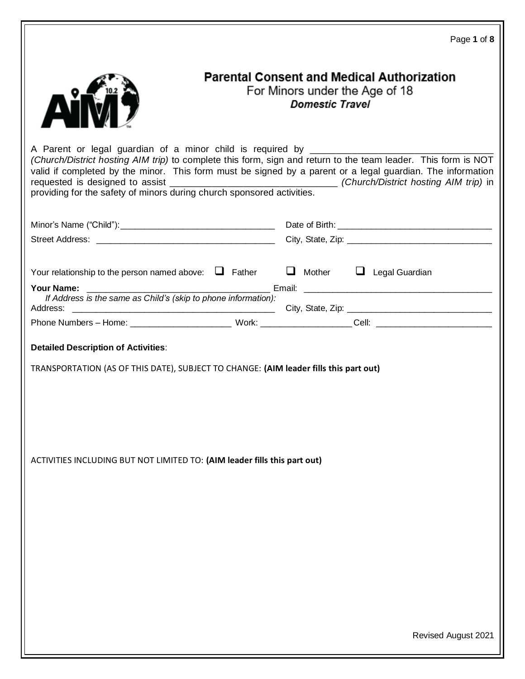|                                                                                                                                                                                                                                     |                                                          | Page 1 of 8                                       |
|-------------------------------------------------------------------------------------------------------------------------------------------------------------------------------------------------------------------------------------|----------------------------------------------------------|---------------------------------------------------|
|                                                                                                                                                                                                                                     | For Minors under the Age of 18<br><b>Domestic Travel</b> | <b>Parental Consent and Medical Authorization</b> |
| (Church/District hosting AIM trip) to complete this form, sign and return to the team leader. This form is NOT<br>valid if completed by the minor. This form must be signed by a parent or a legal guardian. The information        |                                                          |                                                   |
|                                                                                                                                                                                                                                     |                                                          |                                                   |
|                                                                                                                                                                                                                                     |                                                          |                                                   |
|                                                                                                                                                                                                                                     |                                                          |                                                   |
| Your relationship to the person named above: $\Box$ Father $\Box$ Mother $\Box$ Legal Guardian                                                                                                                                      |                                                          |                                                   |
| <b>Your Name:</b> The Contract of the Contract of the Contract of the Contract of the Contract of the Contract of the Contract of the Contract of the Contract of the Contract of the Contract of the Contract of the Contract of t |                                                          |                                                   |
| If Address is the same as Child's (skip to phone information):                                                                                                                                                                      |                                                          |                                                   |
| Phone Numbers - Home: __________________________________Work: ____________________Cell: ______________________                                                                                                                      |                                                          |                                                   |
| <b>Detailed Description of Activities:</b><br>TRANSPORTATION (AS OF THIS DATE), SUBJECT TO CHANGE: (AIM leader fills this part out)                                                                                                 |                                                          |                                                   |
| ACTIVITIES INCLUDING BUT NOT LIMITED TO: (AIM leader fills this part out)                                                                                                                                                           |                                                          |                                                   |
|                                                                                                                                                                                                                                     |                                                          | <b>Revised August 2021</b>                        |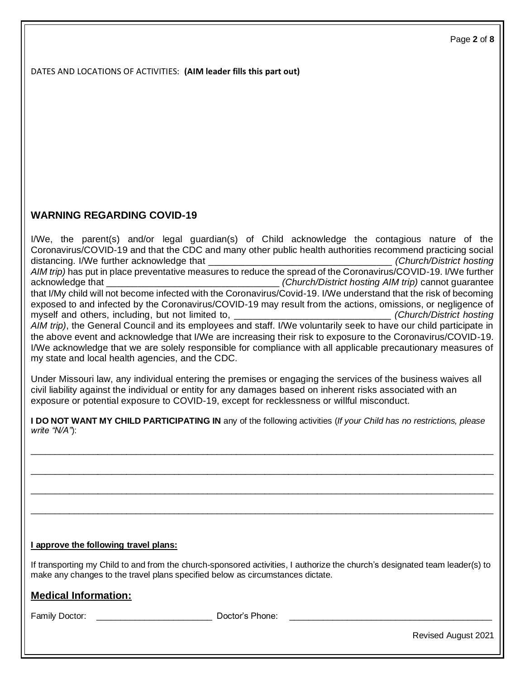DATES AND LOCATIONS OF ACTIVITIES: **(AIM leader fills this part out)**

# **WARNING REGARDING COVID-19**

I/We, the parent(s) and/or legal guardian(s) of Child acknowledge the contagious nature of the Coronavirus/COVID-19 and that the CDC and many other public health authorities recommend practicing social distancing. I/We further acknowledge that \_\_\_\_\_\_\_\_\_\_\_\_\_\_\_\_\_\_\_\_\_\_\_\_\_\_\_\_\_\_\_\_\_\_\_ *(Church/District hosting AIM trip)* has put in place preventative measures to reduce the spread of the Coronavirus/COVID-19. I/We further acknowledge that **the contract of the contract of the contract of the contract of the contract of the contract of the contract of the contract of the contract of the contract of the contract of the contract of the contract** that I/My child will not become infected with the Coronavirus/Covid-19. I/We understand that the risk of becoming exposed to and infected by the Coronavirus/COVID-19 may result from the actions, omissions, or negligence of myself and others, including, but not limited to, \_\_\_\_\_\_\_\_\_\_\_\_\_\_\_\_\_\_\_\_\_\_\_\_\_\_\_\_\_\_*(Church/District hosting AIM trip)*, the General Council and its employees and staff. I/We voluntarily seek to have our child participate in the above event and acknowledge that I/We are increasing their risk to exposure to the Coronavirus/COVID-19. I/We acknowledge that we are solely responsible for compliance with all applicable precautionary measures of my state and local health agencies, and the CDC.

Under Missouri law, any individual entering the premises or engaging the services of the business waives all civil liability against the individual or entity for any damages based on inherent risks associated with an exposure or potential exposure to COVID-19, except for recklessness or willful misconduct.

|               | I DO NOT WANT MY CHILD PARTICIPATING IN any of the following activities (If your Child has no restrictions, please |  |
|---------------|--------------------------------------------------------------------------------------------------------------------|--|
| write "N/A"): |                                                                                                                    |  |

 $\_$  ,  $\_$  ,  $\_$  ,  $\_$  ,  $\_$  ,  $\_$  ,  $\_$  ,  $\_$  ,  $\_$  ,  $\_$  ,  $\_$  ,  $\_$  ,  $\_$  ,  $\_$  ,  $\_$  ,  $\_$  ,  $\_$  ,  $\_$  ,  $\_$  ,  $\_$  ,  $\_$  ,  $\_$  ,  $\_$  ,  $\_$  ,  $\_$  ,  $\_$  ,  $\_$  ,  $\_$  ,  $\_$  ,  $\_$  ,  $\_$  ,  $\_$  ,  $\_$  ,  $\_$  ,  $\_$  ,  $\_$  ,  $\_$  ,

 $\_$  ,  $\_$  ,  $\_$  ,  $\_$  ,  $\_$  ,  $\_$  ,  $\_$  ,  $\_$  ,  $\_$  ,  $\_$  ,  $\_$  ,  $\_$  ,  $\_$  ,  $\_$  ,  $\_$  ,  $\_$  ,  $\_$  ,  $\_$  ,  $\_$  ,  $\_$  ,  $\_$  ,  $\_$  ,  $\_$  ,  $\_$  ,  $\_$  ,  $\_$  ,  $\_$  ,  $\_$  ,  $\_$  ,  $\_$  ,  $\_$  ,  $\_$  ,  $\_$  ,  $\_$  ,  $\_$  ,  $\_$  ,  $\_$  ,

 $\_$  ,  $\_$  ,  $\_$  ,  $\_$  ,  $\_$  ,  $\_$  ,  $\_$  ,  $\_$  ,  $\_$  ,  $\_$  ,  $\_$  ,  $\_$  ,  $\_$  ,  $\_$  ,  $\_$  ,  $\_$  ,  $\_$  ,  $\_$  ,  $\_$  ,  $\_$  ,  $\_$  ,  $\_$  ,  $\_$  ,  $\_$  ,  $\_$  ,  $\_$  ,  $\_$  ,  $\_$  ,  $\_$  ,  $\_$  ,  $\_$  ,  $\_$  ,  $\_$  ,  $\_$  ,  $\_$  ,  $\_$  ,  $\_$  ,

 $\_$  ,  $\_$  ,  $\_$  ,  $\_$  ,  $\_$  ,  $\_$  ,  $\_$  ,  $\_$  ,  $\_$  ,  $\_$  ,  $\_$  ,  $\_$  ,  $\_$  ,  $\_$  ,  $\_$  ,  $\_$  ,  $\_$  ,  $\_$  ,  $\_$  ,  $\_$  ,  $\_$  ,  $\_$  ,  $\_$  ,  $\_$  ,  $\_$  ,  $\_$  ,  $\_$  ,  $\_$  ,  $\_$  ,  $\_$  ,  $\_$  ,  $\_$  ,  $\_$  ,  $\_$  ,  $\_$  ,  $\_$  ,  $\_$  ,

# **I approve the following travel plans:**

If transporting my Child to and from the church-sponsored activities, I authorize the church's designated team leader(s) to make any changes to the travel plans specified below as circumstances dictate.

# **Medical Information:**

Family Doctor: <br>
Family Doctor: <br>
<br>
Poctor's Phone: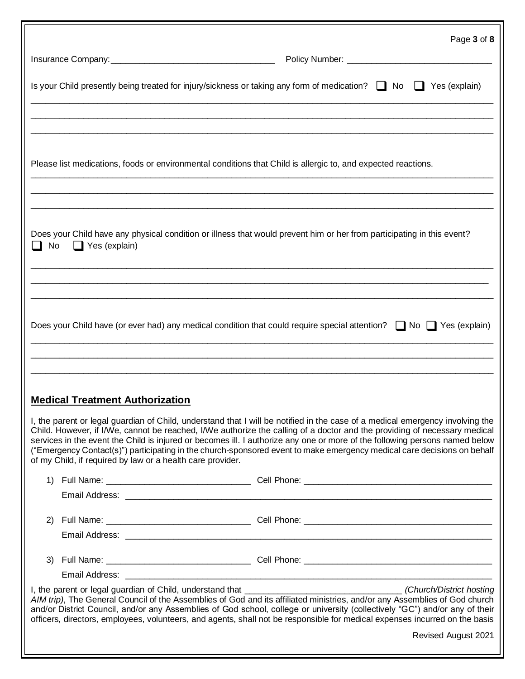|                                                                                                               | Page 3 of 8                                                                                                                                                                                                                                                                                                                                                                                                                                                                                                          |
|---------------------------------------------------------------------------------------------------------------|----------------------------------------------------------------------------------------------------------------------------------------------------------------------------------------------------------------------------------------------------------------------------------------------------------------------------------------------------------------------------------------------------------------------------------------------------------------------------------------------------------------------|
|                                                                                                               |                                                                                                                                                                                                                                                                                                                                                                                                                                                                                                                      |
|                                                                                                               | Is your Child presently being treated for injury/sickness or taking any form of medication? $\Box$ No $\Box$ Yes (explain)                                                                                                                                                                                                                                                                                                                                                                                           |
|                                                                                                               |                                                                                                                                                                                                                                                                                                                                                                                                                                                                                                                      |
| Please list medications, foods or environmental conditions that Child is allergic to, and expected reactions. |                                                                                                                                                                                                                                                                                                                                                                                                                                                                                                                      |
|                                                                                                               |                                                                                                                                                                                                                                                                                                                                                                                                                                                                                                                      |
| $\Box$ Yes (explain)<br>$\Box$ No                                                                             | Does your Child have any physical condition or illness that would prevent him or her from participating in this event?                                                                                                                                                                                                                                                                                                                                                                                               |
|                                                                                                               |                                                                                                                                                                                                                                                                                                                                                                                                                                                                                                                      |
|                                                                                                               | Does your Child have (or ever had) any medical condition that could require special attention? $\Box$ No $\Box$ Yes (explain)                                                                                                                                                                                                                                                                                                                                                                                        |
|                                                                                                               |                                                                                                                                                                                                                                                                                                                                                                                                                                                                                                                      |
| <b>Medical Treatment Authorization</b>                                                                        |                                                                                                                                                                                                                                                                                                                                                                                                                                                                                                                      |
| of my Child, if required by law or a health care provider.                                                    | I, the parent or legal guardian of Child, understand that I will be notified in the case of a medical emergency involving the<br>Child. However, if I/We, cannot be reached, I/We authorize the calling of a doctor and the providing of necessary medical<br>services in the event the Child is injured or becomes ill. I authorize any one or more of the following persons named below<br>("Emergency Contact(s)") participating in the church-sponsored event to make emergency medical care decisions on behalf |
|                                                                                                               |                                                                                                                                                                                                                                                                                                                                                                                                                                                                                                                      |
|                                                                                                               |                                                                                                                                                                                                                                                                                                                                                                                                                                                                                                                      |
| (2)                                                                                                           |                                                                                                                                                                                                                                                                                                                                                                                                                                                                                                                      |
|                                                                                                               |                                                                                                                                                                                                                                                                                                                                                                                                                                                                                                                      |
|                                                                                                               |                                                                                                                                                                                                                                                                                                                                                                                                                                                                                                                      |
|                                                                                                               |                                                                                                                                                                                                                                                                                                                                                                                                                                                                                                                      |
|                                                                                                               | AIM trip), The General Council of the Assemblies of God and its affiliated ministries, and/or any Assemblies of God church<br>and/or District Council, and/or any Assemblies of God school, college or university (collectively "GC") and/or any of their<br>officers, directors, employees, volunteers, and agents, shall not be responsible for medical expenses incurred on the basis                                                                                                                             |
|                                                                                                               | Revised August 2021                                                                                                                                                                                                                                                                                                                                                                                                                                                                                                  |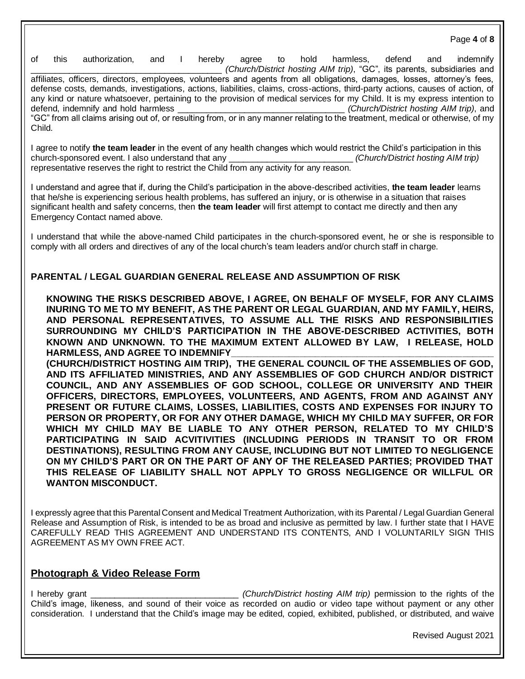of this authorization, and I hereby agree to hold harmless, defend and indemnify \_\_\_\_\_\_\_\_\_\_\_\_\_\_\_\_\_\_\_\_\_\_\_\_\_\_\_\_\_\_\_\_\_\_\_\_\_\_\_\_ *(Church/District hosting AIM trip)*, "GC", its parents, subsidiaries and affiliates, officers, directors, employees, volunteers and agents from all obligations, damages, losses, attorney's fees, defense costs, demands, investigations, actions, liabilities, claims, cross-actions, third-party actions, causes of action, of any kind or nature whatsoever, pertaining to the provision of medical services for my Child. It is my express intention to defend, indemnify and hold harmless \_\_\_\_\_\_\_\_\_\_\_\_\_\_\_\_\_\_\_\_\_\_\_\_\_\_\_\_\_\_\_\_\_\_\_ *(Church/District hosting AIM trip)*, and "GC" from all claims arising out of, or resulting from, or in any manner relating to the treatment, medical or otherwise, of my Child.

I agree to notify **the team leader** in the event of any health changes which would restrict the Child's participation in this church-sponsored event. I also understand that any \_\_\_\_\_\_\_\_\_\_\_\_\_\_\_\_\_\_\_\_\_\_\_\_\_\_ *(Church/District hosting AIM trip)*  representative reserves the right to restrict the Child from any activity for any reason.

I understand and agree that if, during the Child's participation in the above-described activities, **the team leader** learns that he/she is experiencing serious health problems, has suffered an injury, or is otherwise in a situation that raises significant health and safety concerns, then **the team leader** will first attempt to contact me directly and then any Emergency Contact named above.

I understand that while the above-named Child participates in the church-sponsored event, he or she is responsible to comply with all orders and directives of any of the local church's team leaders and/or church staff in charge.

#### **PARENTAL / LEGAL GUARDIAN GENERAL RELEASE AND ASSUMPTION OF RISK**

**KNOWING THE RISKS DESCRIBED ABOVE, I AGREE, ON BEHALF OF MYSELF, FOR ANY CLAIMS INURING TO ME TO MY BENEFIT, AS THE PARENT OR LEGAL GUARDIAN, AND MY FAMILY, HEIRS, AND PERSONAL REPRESENTATIVES, TO ASSUME ALL THE RISKS AND RESPONSIBILITIES SURROUNDING MY CHILD'S PARTICIPATION IN THE ABOVE-DESCRIBED ACTIVITIES, BOTH KNOWN AND UNKNOWN. TO THE MAXIMUM EXTENT ALLOWED BY LAW, I RELEASE, HOLD**  HARMLESS, AND AGREE TO INDEMNIFY

**(CHURCH/DISTRICT HOSTING AIM TRIP), THE GENERAL COUNCIL OF THE ASSEMBLIES OF GOD, AND ITS AFFILIATED MINISTRIES, AND ANY ASSEMBLIES OF GOD CHURCH AND/OR DISTRICT COUNCIL, AND ANY ASSEMBLIES OF GOD SCHOOL, COLLEGE OR UNIVERSITY AND THEIR OFFICERS, DIRECTORS, EMPLOYEES, VOLUNTEERS, AND AGENTS, FROM AND AGAINST ANY PRESENT OR FUTURE CLAIMS, LOSSES, LIABILITIES, COSTS AND EXPENSES FOR INJURY TO PERSON OR PROPERTY, OR FOR ANY OTHER DAMAGE, WHICH MY CHILD MAY SUFFER, OR FOR WHICH MY CHILD MAY BE LIABLE TO ANY OTHER PERSON, RELATED TO MY CHILD'S PARTICIPATING IN SAID ACVITIVITIES (INCLUDING PERIODS IN TRANSIT TO OR FROM DESTINATIONS), RESULTING FROM ANY CAUSE, INCLUDING BUT NOT LIMITED TO NEGLIGENCE ON MY CHILD'S PART OR ON THE PART OF ANY OF THE RELEASED PARTIES; PROVIDED THAT THIS RELEASE OF LIABILITY SHALL NOT APPLY TO GROSS NEGLIGENCE OR WILLFUL OR WANTON MISCONDUCT.**

I expressly agree that this Parental Consent and Medical Treatment Authorization, with its Parental / Legal Guardian General Release and Assumption of Risk, is intended to be as broad and inclusive as permitted by law. I further state that I HAVE CAREFULLY READ THIS AGREEMENT AND UNDERSTAND ITS CONTENTS, AND I VOLUNTARILY SIGN THIS AGREEMENT AS MY OWN FREE ACT.

## **Photograph & Video Release Form**

I hereby grant \_\_\_\_\_\_\_\_\_\_\_\_\_\_\_\_\_\_\_\_\_\_\_\_\_\_\_\_\_\_\_ *(Church/District hosting AIM trip)* permission to the rights of the Child's image, likeness, and sound of their voice as recorded on audio or video tape without payment or any other consideration. I understand that the Child's image may be edited, copied, exhibited, published, or distributed, and waive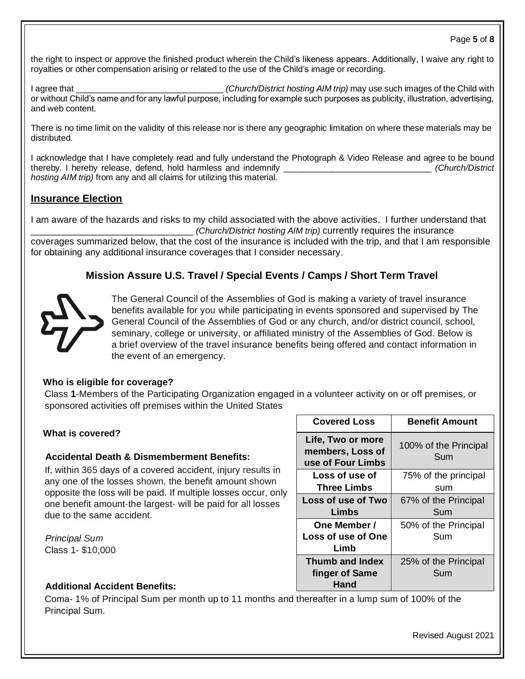#### Page **5** of **8**

the right to inspect or approve the finished product wherein the Child's likeness appears. Additionally, I waive any right to royalties or other compensation arising or related to the use of the Child's image or recording.

I agree that \_\_\_\_\_\_\_\_\_\_\_\_\_\_\_\_\_\_\_\_\_\_\_\_\_\_\_\_\_\_\_ *(Church/District hosting AIM trip)* may use such images of the Child with or without Child's name and for any lawful purpose, including for example such purposes as publicity, illustration, advertising, and web content.

There is no time limit on the validity of this release nor is there any geographic limitation on where these materials may be distributed.

I acknowledge that I have completely read and fully understand the Photograph & Video Release and agree to be bound thereby. I hereby release, defend, hold harmless and indemnify \_\_\_\_\_\_\_\_\_\_\_\_\_\_\_\_\_\_\_\_\_\_\_\_\_\_\_\_\_\_\_ *(Church/District hosting AIM trip)* from any and all claims for utilizing this material.

## **Insurance Election**

I am aware of the hazards and risks to my child associated with the above activities. I further understand that \_\_\_\_\_\_\_\_\_\_\_\_\_\_\_\_\_\_\_\_\_\_\_\_\_\_\_\_\_\_\_ *(Church/District hosting AIM trip)* currently requires the insurance coverages summarized below, that the cost of the insurance is included with the trip, and that I am responsible for obtaining any additional insurance coverages that I consider necessary.

# **Mission Assure U.S. Travel / Special Events / Camps / Short Term Travel**



The General Council of the Assemblies of God is making a variety of travel insurance benefits available for you while participating in events sponsored and supervised by The General Council of the Assemblies of God or any church, and/or district council, school, seminary, college or university, or affiliated ministry of the Assemblies of God. Below is a brief overview of the travel insurance benefits being offered and contact information in the event of an emergency.

## **Who is eligible for coverage?**

Class **1**-Members of the Participating Organization engaged in a volunteer activity on or off premises, or sponsored activities off premises within the United States

## **What is covered?**

## **Accidental Death & Dismemberment Benefits:**

If, within 365 days of a covered accident, injury results in any one of the losses shown, the benefit amount shown opposite the loss will be paid. If multiple losses occur, only one benefit amount-the largest- will be paid for all losses due to the same accident.

*Principal Sum* Class 1- \$10,000

## **Additional Accident Benefits:**

Coma- 1% of Principal Sum per month up to 11 months and thereafter in a lump sum of 100% of the Principal Sum.

| <b>Covered Loss</b>                                        | <b>Benefit Amount</b>        |
|------------------------------------------------------------|------------------------------|
| Life, Two or more<br>members, Loss of<br>use of Four Limbs | 100% of the Principal<br>Sum |
| Loss of use of<br>Three Limbs                              | 75% of the principal<br>sum  |
| Loss of use of Two<br>Limbs                                | 67% of the Principal<br>Sum  |
| One Member /<br>Loss of use of One<br>Limb                 | 50% of the Principal<br>Sum  |
| Thumb and Index<br>finger of Same<br>Hand                  | 25% of the Principal<br>Sum  |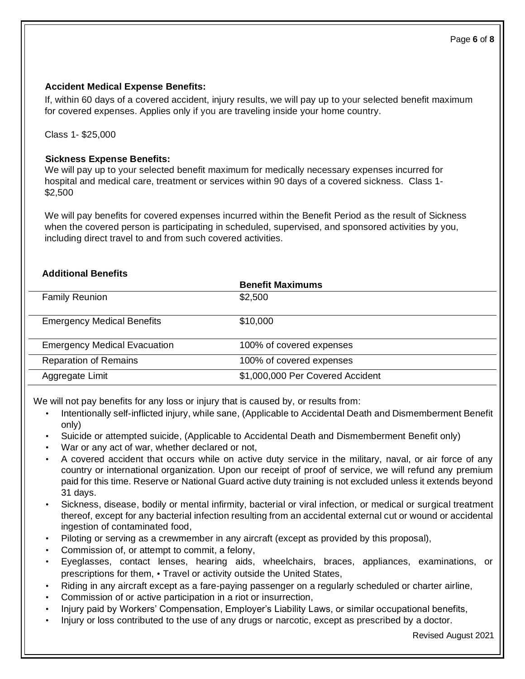#### Page **6** of **8**

#### **Accident Medical Expense Benefits:**

If, within 60 days of a covered accident, injury results, we will pay up to your selected benefit maximum for covered expenses. Applies only if you are traveling inside your home country.

Class 1- \$25,000

## **Sickness Expense Benefits:**

We will pay up to your selected benefit maximum for medically necessary expenses incurred for hospital and medical care, treatment or services within 90 days of a covered sickness. Class 1- \$2,500

We will pay benefits for covered expenses incurred within the Benefit Period as the result of Sickness when the covered person is participating in scheduled, supervised, and sponsored activities by you, including direct travel to and from such covered activities.

## **Additional Benefits**

|                                     | <b>Benefit Maximums</b>          |
|-------------------------------------|----------------------------------|
| <b>Family Reunion</b>               | \$2,500                          |
|                                     |                                  |
| <b>Emergency Medical Benefits</b>   | \$10,000                         |
|                                     |                                  |
| <b>Emergency Medical Evacuation</b> | 100% of covered expenses         |
| <b>Reparation of Remains</b>        | 100% of covered expenses         |
| Aggregate Limit                     | \$1,000,000 Per Covered Accident |

We will not pay benefits for any loss or injury that is caused by, or results from:

- Intentionally self-inflicted injury, while sane, (Applicable to Accidental Death and Dismemberment Benefit only)
- Suicide or attempted suicide, (Applicable to Accidental Death and Dismemberment Benefit only)
- War or any act of war, whether declared or not,
- A covered accident that occurs while on active duty service in the military, naval, or air force of any country or international organization. Upon our receipt of proof of service, we will refund any premium paid for this time. Reserve or National Guard active duty training is not excluded unless it extends beyond 31 days.
- Sickness, disease, bodily or mental infirmity, bacterial or viral infection, or medical or surgical treatment thereof, except for any bacterial infection resulting from an accidental external cut or wound or accidental ingestion of contaminated food,
- Piloting or serving as a crewmember in any aircraft (except as provided by this proposal),
- Commission of, or attempt to commit, a felony,
- Eyeglasses, contact lenses, hearing aids, wheelchairs, braces, appliances, examinations, or prescriptions for them, • Travel or activity outside the United States,
- Riding in any aircraft except as a fare-paying passenger on a regularly scheduled or charter airline,
- Commission of or active participation in a riot or insurrection,
- Injury paid by Workers' Compensation, Employer's Liability Laws, or similar occupational benefits,
- Injury or loss contributed to the use of any drugs or narcotic, except as prescribed by a doctor.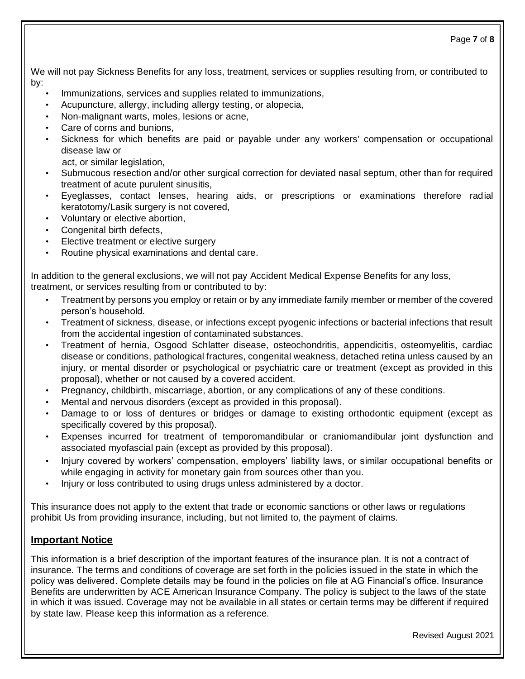We will not pay Sickness Benefits for any loss, treatment, services or supplies resulting from, or contributed to by:

- Immunizations, services and supplies related to immunizations,
- Acupuncture, allergy, including allergy testing, or alopecia,
- Non-malignant warts, moles, lesions or acne,
- Care of corns and bunions,
- Sickness for which benefits are paid or payable under any workers' compensation or occupational disease law or

act, or similar legislation,

- Submucous resection and/or other surgical correction for deviated nasal septum, other than for required treatment of acute purulent sinusitis,
- Eyeglasses, contact lenses, hearing aids, or prescriptions or examinations therefore radial keratotomy/Lasik surgery is not covered,
- Voluntary or elective abortion,
- Congenital birth defects,
- Elective treatment or elective surgery
- Routine physical examinations and dental care.

In addition to the general exclusions, we will not pay Accident Medical Expense Benefits for any loss, treatment, or services resulting from or contributed to by:

- Treatment by persons you employ or retain or by any immediate family member or member of the covered person's household.
- Treatment of sickness, disease, or infections except pyogenic infections or bacterial infections that result from the accidental ingestion of contaminated substances.
- Treatment of hernia, Osgood Schlatter disease, osteochondritis, appendicitis, osteomyelitis, cardiac disease or conditions, pathological fractures, congenital weakness, detached retina unless caused by an injury, or mental disorder or psychological or psychiatric care or treatment (except as provided in this proposal), whether or not caused by a covered accident.
- Pregnancy, childbirth, miscarriage, abortion, or any complications of any of these conditions.
- Mental and nervous disorders (except as provided in this proposal).
- Damage to or loss of dentures or bridges or damage to existing orthodontic equipment (except as specifically covered by this proposal).
- Expenses incurred for treatment of temporomandibular or craniomandibular joint dysfunction and associated myofascial pain (except as provided by this proposal).
- Injury covered by workers' compensation, employers' liability laws, or similar occupational benefits or while engaging in activity for monetary gain from sources other than you.
- Injury or loss contributed to using drugs unless administered by a doctor.

This insurance does not apply to the extent that trade or economic sanctions or other laws or regulations prohibit Us from providing insurance, including, but not limited to, the payment of claims.

# **Important Notice**

This information is a brief description of the important features of the insurance plan. It is not a contract of insurance. The terms and conditions of coverage are set forth in the policies issued in the state in which the policy was delivered. Complete details may be found in the policies on file at AG Financial's office. Insurance Benefits are underwritten by ACE American Insurance Company. The policy is subject to the laws of the state in which it was issued. Coverage may not be available in all states or certain terms may be different if required by state law. Please keep this information as a reference.